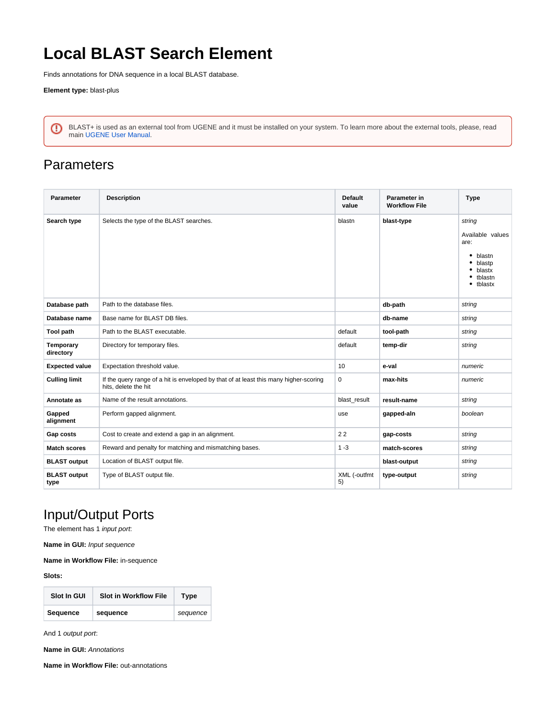## **Local BLAST Search Element**

Finds annotations for DNA sequence in a local BLAST database.

**Element type:** blast-plus

BLAST+ is used as an external tool from UGENE and it must be installed on your system. To learn more about the external tools, please, read main [UGENE User Manual](http://ugene.unipro.ru/documentation.html).

## **Parameters**

| <b>Parameter</b>            | <b>Description</b>                                                                                            | <b>Default</b><br>value | Parameter in<br><b>Workflow File</b> | <b>Type</b>                                                                                          |
|-----------------------------|---------------------------------------------------------------------------------------------------------------|-------------------------|--------------------------------------|------------------------------------------------------------------------------------------------------|
| Search type                 | Selects the type of the BLAST searches.                                                                       | blastn                  | blast-type                           | string<br>Available values<br>are:<br>$\bullet$ blastn<br>blastp<br>blastx<br>• tblastn<br>• tblastx |
| Database path               | Path to the database files.                                                                                   |                         | db-path                              | string                                                                                               |
| Database name               | Base name for BLAST DB files.                                                                                 |                         | db-name                              | string                                                                                               |
| Tool path                   | Path to the BLAST executable.                                                                                 | default                 | tool-path                            | string                                                                                               |
| Temporary<br>directory      | Directory for temporary files.                                                                                | default                 | temp-dir                             | string                                                                                               |
| <b>Expected value</b>       | Expectation threshold value.                                                                                  | 10                      | e-val                                | numeric                                                                                              |
| <b>Culling limit</b>        | If the query range of a hit is enveloped by that of at least this many higher-scoring<br>hits, delete the hit | $\mathbf 0$             | max-hits                             | numeric                                                                                              |
| Annotate as                 | Name of the result annotations.                                                                               | blast result            | result-name                          | string                                                                                               |
| Gapped<br>alignment         | Perform gapped alignment.                                                                                     | use                     | gapped-aln                           | boolean                                                                                              |
| Gap costs                   | Cost to create and extend a gap in an alignment.                                                              | 22                      | gap-costs                            | string                                                                                               |
| <b>Match scores</b>         | Reward and penalty for matching and mismatching bases.                                                        | $1 - 3$                 | match-scores                         | string                                                                                               |
| <b>BLAST output</b>         | Location of BLAST output file.                                                                                |                         | blast-output                         | string                                                                                               |
| <b>BLAST output</b><br>type | Type of BLAST output file.                                                                                    | XML (-outfmt<br>5)      | type-output                          | string                                                                                               |

## Input/Output Ports

The element has 1 input port:

**Name in GUI:** Input sequence

**Name in Workflow File:** in-sequence

**Slots:**

| Slot In GUI | <b>Slot in Workflow File</b> | Type     |
|-------------|------------------------------|----------|
| Sequence    | sequence                     | sequence |

And 1 output port:

**Name in GUI:** Annotations

**Name in Workflow File:** out-annotations